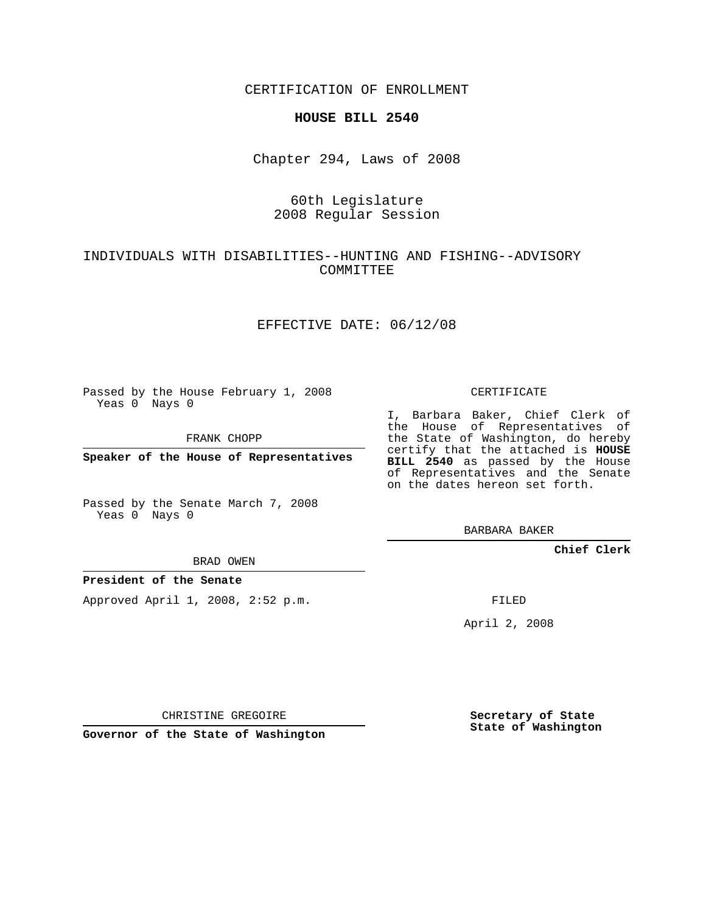CERTIFICATION OF ENROLLMENT

### **HOUSE BILL 2540**

Chapter 294, Laws of 2008

# 60th Legislature 2008 Regular Session

## INDIVIDUALS WITH DISABILITIES--HUNTING AND FISHING--ADVISORY COMMITTEE

### EFFECTIVE DATE: 06/12/08

Passed by the House February 1, 2008 Yeas 0 Nays 0

FRANK CHOPP

**Speaker of the House of Representatives**

Passed by the Senate March 7, 2008 Yeas 0 Nays 0

#### BRAD OWEN

## **President of the Senate**

Approved April 1, 2008, 2:52 p.m.

### CERTIFICATE

I, Barbara Baker, Chief Clerk of the House of Representatives of the State of Washington, do hereby certify that the attached is **HOUSE BILL 2540** as passed by the House of Representatives and the Senate on the dates hereon set forth.

BARBARA BAKER

**Chief Clerk**

FILED

April 2, 2008

CHRISTINE GREGOIRE

**Governor of the State of Washington**

**Secretary of State State of Washington**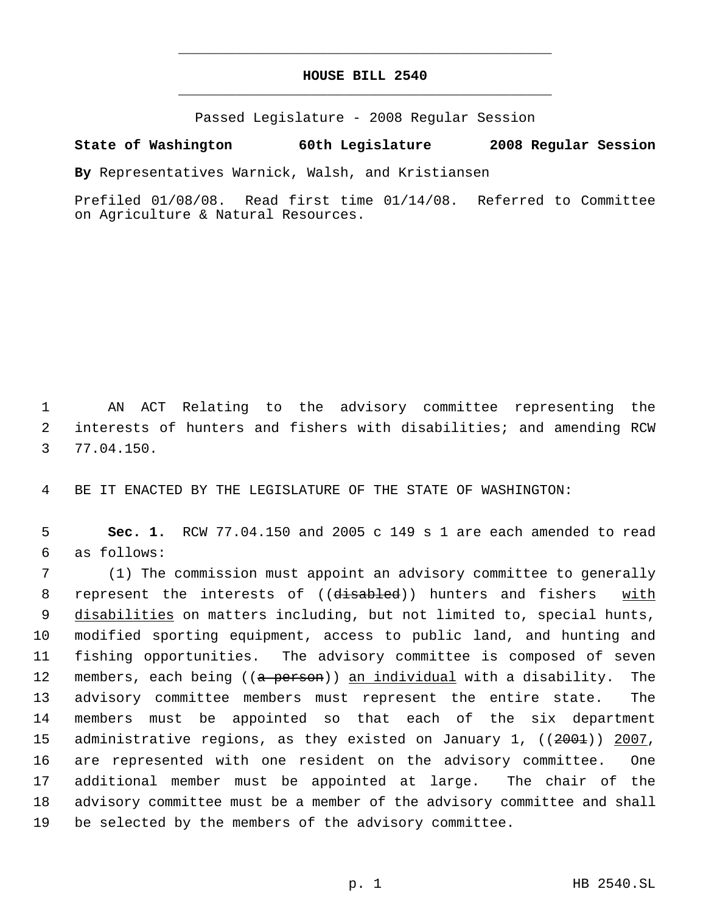# **HOUSE BILL 2540** \_\_\_\_\_\_\_\_\_\_\_\_\_\_\_\_\_\_\_\_\_\_\_\_\_\_\_\_\_\_\_\_\_\_\_\_\_\_\_\_\_\_\_\_\_

\_\_\_\_\_\_\_\_\_\_\_\_\_\_\_\_\_\_\_\_\_\_\_\_\_\_\_\_\_\_\_\_\_\_\_\_\_\_\_\_\_\_\_\_\_

Passed Legislature - 2008 Regular Session

## **State of Washington 60th Legislature 2008 Regular Session**

**By** Representatives Warnick, Walsh, and Kristiansen

Prefiled 01/08/08. Read first time 01/14/08. Referred to Committee on Agriculture & Natural Resources.

 1 AN ACT Relating to the advisory committee representing the 2 interests of hunters and fishers with disabilities; and amending RCW 3 77.04.150.

4 BE IT ENACTED BY THE LEGISLATURE OF THE STATE OF WASHINGTON:

 5 **Sec. 1.** RCW 77.04.150 and 2005 c 149 s 1 are each amended to read 6 as follows:

 (1) The commission must appoint an advisory committee to generally 8 represent the interests of ((disabled)) hunters and fishers with 9 disabilities on matters including, but not limited to, special hunts, modified sporting equipment, access to public land, and hunting and fishing opportunities. The advisory committee is composed of seven 12 members, each being ((<del>a person</del>)) an individual with a disability. The advisory committee members must represent the entire state. The members must be appointed so that each of the six department 15 administrative regions, as they existed on January 1, ((<del>2001</del>)) <u>2007</u>, are represented with one resident on the advisory committee. One additional member must be appointed at large. The chair of the advisory committee must be a member of the advisory committee and shall be selected by the members of the advisory committee.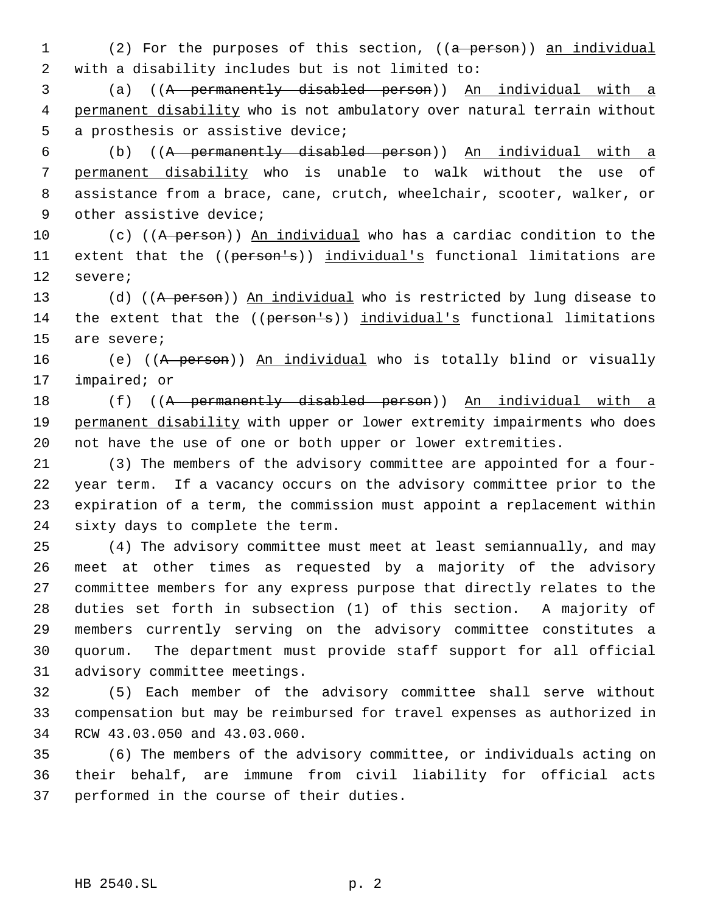1 (2) For the purposes of this section, ((a person)) an individual with a disability includes but is not limited to:

 (a) ((A permanently disabled person)) An individual with a permanent disability who is not ambulatory over natural terrain without a prosthesis or assistive device;

 (b) ((A permanently disabled person)) An individual with a permanent disability who is unable to walk without the use of assistance from a brace, cane, crutch, wheelchair, scooter, walker, or other assistive device;

10 (c) ((A person)) An individual who has a cardiac condition to the 11 extent that the ((person's)) individual's functional limitations are severe;

13 (d) ((A person)) An individual who is restricted by lung disease to 14 the extent that the ((person's)) individual's functional limitations are severe;

16 (e) ((A person)) An individual who is totally blind or visually impaired; or

18 (f) ((A permanently disabled person)) An individual with a 19 permanent disability with upper or lower extremity impairments who does not have the use of one or both upper or lower extremities.

 (3) The members of the advisory committee are appointed for a four- year term. If a vacancy occurs on the advisory committee prior to the expiration of a term, the commission must appoint a replacement within sixty days to complete the term.

 (4) The advisory committee must meet at least semiannually, and may meet at other times as requested by a majority of the advisory committee members for any express purpose that directly relates to the duties set forth in subsection (1) of this section. A majority of members currently serving on the advisory committee constitutes a quorum. The department must provide staff support for all official advisory committee meetings.

 (5) Each member of the advisory committee shall serve without compensation but may be reimbursed for travel expenses as authorized in RCW 43.03.050 and 43.03.060.

 (6) The members of the advisory committee, or individuals acting on their behalf, are immune from civil liability for official acts performed in the course of their duties.